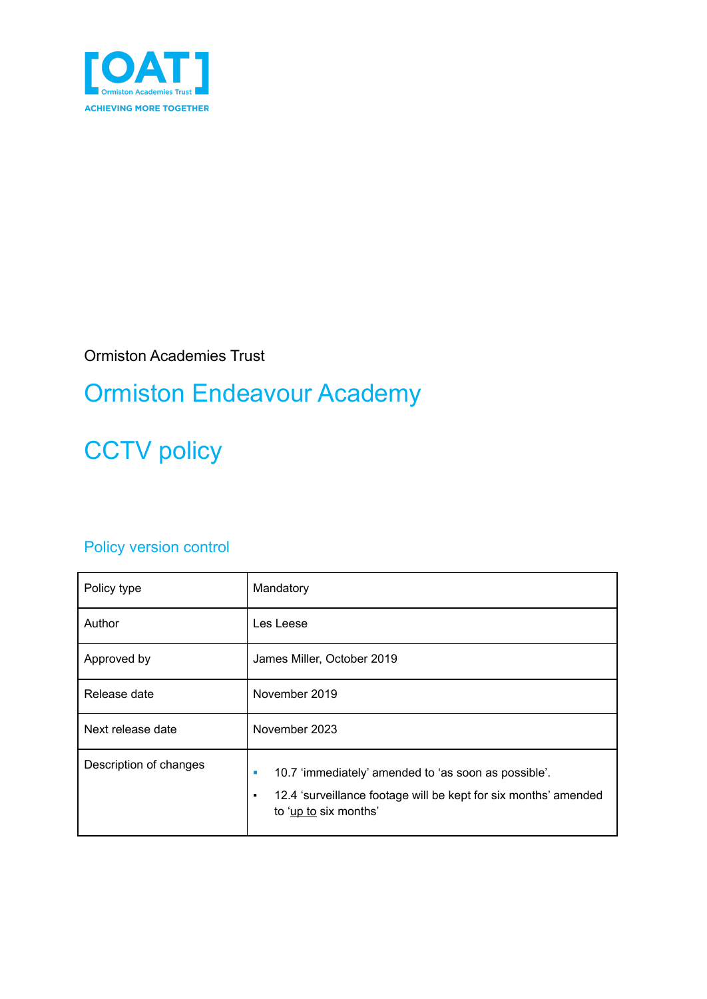

Ormiston Academies Trust

## Ormiston Endeavour Academy

# **CCTV** policy

#### Policy version control

| Policy type            | Mandatory                                                                                                                                                  |  |
|------------------------|------------------------------------------------------------------------------------------------------------------------------------------------------------|--|
| Author                 | Les Leese                                                                                                                                                  |  |
| Approved by            | James Miller, October 2019                                                                                                                                 |  |
| Release date           | November 2019                                                                                                                                              |  |
| Next release date      | November 2023                                                                                                                                              |  |
| Description of changes | 10.7 'immediately' amended to 'as soon as possible'.<br>ш<br>12.4 'surveillance footage will be kept for six months' amended<br>٠<br>to 'up to six months' |  |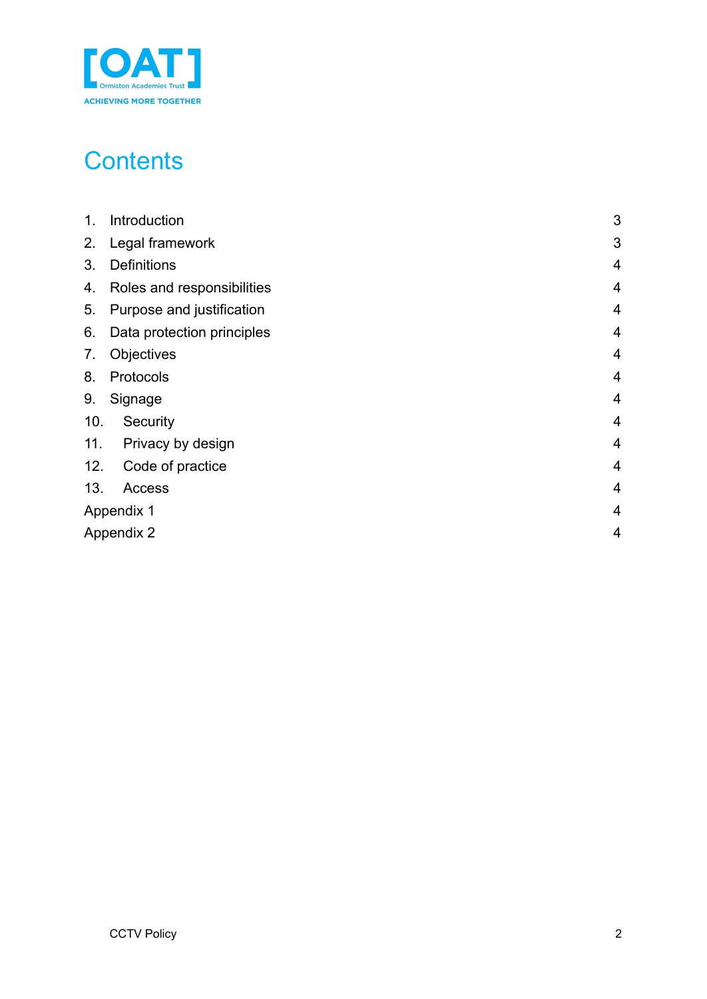

## **Contents**

| 1.         | Introduction               | 3              |
|------------|----------------------------|----------------|
| 2.         | Legal framework            | 3              |
| 3.         | <b>Definitions</b>         | $\overline{4}$ |
| 4.         | Roles and responsibilities | $\overline{4}$ |
| 5.         | Purpose and justification  | $\overline{4}$ |
| 6.         | Data protection principles | $\overline{4}$ |
| 7.         | Objectives                 | $\overline{4}$ |
| 8.         | Protocols                  | $\overline{4}$ |
| 9.         | Signage                    | 4              |
| 10.        | Security                   | $\overline{4}$ |
| 11.        | Privacy by design          | $\overline{4}$ |
| 12.        | Code of practice           | 4              |
| 13.        | Access                     | $\overline{4}$ |
| Appendix 1 |                            | $\overline{4}$ |
|            | <b>Appendix 2</b>          | $\overline{4}$ |
|            |                            |                |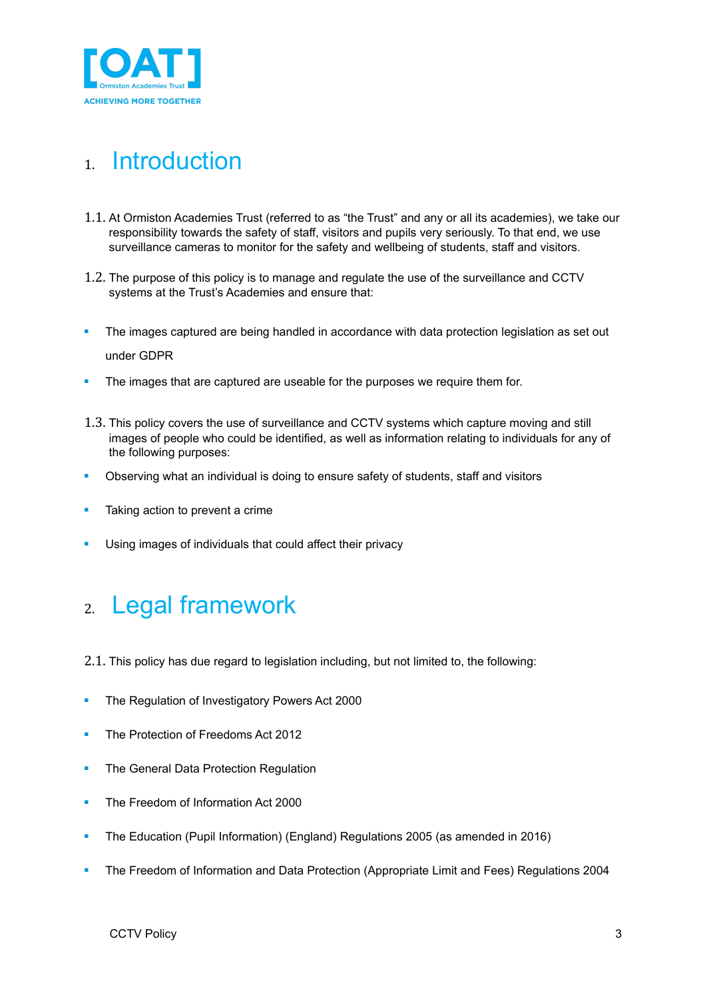

### <span id="page-2-0"></span>1. Introduction

- 1.1. At Ormiston Academies Trust (referred to as "the Trust" and any or all its academies), we take our responsibility towards the safety of staff, visitors and pupils very seriously. To that end, we use surveillance cameras to monitor for the safety and wellbeing of students, staff and visitors.
- 1.2. The purpose of this policy is to manage and regulate the use of the surveillance and CCTV systems at the Trust's Academies and ensure that:
- The images captured are being handled in accordance with data protection legislation as set out under GDPR
- The images that are captured are useable for the purposes we require them for.
- 1.3. This policy covers the use of surveillance and CCTV systems which capture moving and still images of people who could be identified, as well as information relating to individuals for any of the following purposes:
- **•** Observing what an individual is doing to ensure safety of students, staff and visitors
- Taking action to prevent a crime
- Using images of individuals that could affect their privacy

#### <span id="page-2-1"></span>2. Legal framework

- 2.1. This policy has due regard to legislation including, but not limited to, the following:
- The Regulation of Investigatory Powers Act 2000
- **The Protection of Freedoms Act 2012**
- The General Data Protection Regulation
- The Freedom of Information Act 2000
- The Education (Pupil Information) (England) Regulations 2005 (as amended in 2016)
- The Freedom of Information and Data Protection (Appropriate Limit and Fees) Regulations 2004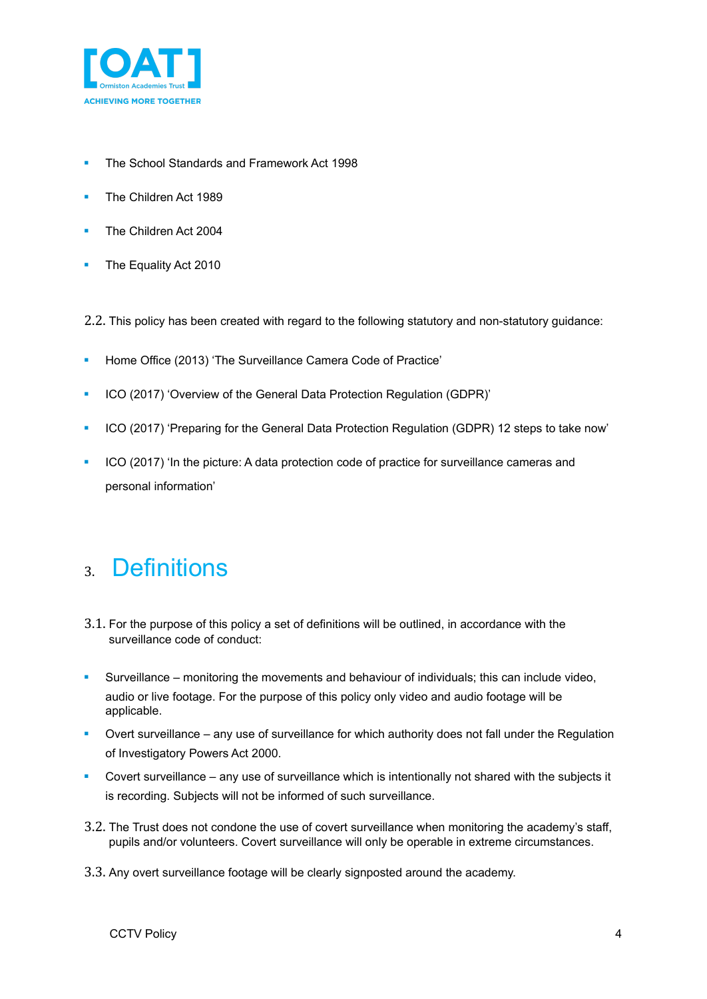

- The School Standards and Framework Act 1998
- The Children Act 1989
- The Children Act 2004
- The Equality Act 2010

2.2. This policy has been created with regard to the following statutory and non-statutory guidance:

- Home Office (2013) 'The Surveillance Camera Code of Practice'
- ICO (2017) 'Overview of the General Data Protection Regulation (GDPR)'
- ICO (2017) 'Preparing for the General Data Protection Regulation (GDPR) 12 steps to take now'
- ICO (2017) 'In the picture: A data protection code of practice for surveillance cameras and personal information'

#### <span id="page-3-0"></span>3. Definitions

- 3.1. For the purpose of this policy a set of definitions will be outlined, in accordance with the surveillance code of conduct:
- **E** Surveillance monitoring the movements and behaviour of individuals; this can include video, audio or live footage. For the purpose of this policy only video and audio footage will be applicable.
- Overt surveillance any use of surveillance for which authority does not fall under the Regulation of Investigatory Powers Act 2000.
- Covert surveillance any use of surveillance which is intentionally not shared with the subjects it is recording. Subjects will not be informed of such surveillance.
- 3.2. The Trust does not condone the use of covert surveillance when monitoring the academy's staff, pupils and/or volunteers. Covert surveillance will only be operable in extreme circumstances.
- 3.3. Any overt surveillance footage will be clearly signposted around the academy.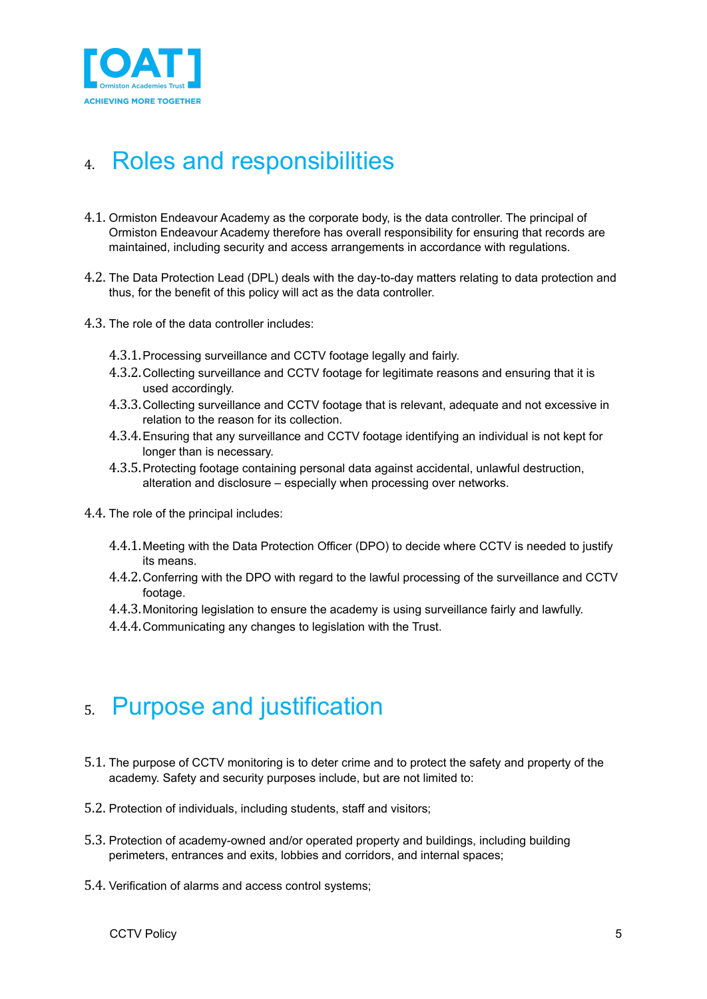

## <span id="page-4-0"></span>4. Roles and responsibilities

- 4.1. Ormiston Endeavour Academy as the corporate body, is the data controller. The principal of Ormiston Endeavour Academy therefore has overall responsibility for ensuring that records are maintained, including security and access arrangements in accordance with regulations.
- 4.2. The Data Protection Lead (DPL) deals with the day-to-day matters relating to data protection and thus, for the benefit of this policy will act as the data controller.
- 4.3. The role of the data controller includes:
	- 4.3.1.Processing surveillance and CCTV footage legally and fairly.
	- 4.3.2.Collecting surveillance and CCTV footage for legitimate reasons and ensuring that it is used accordingly.
	- 4.3.3.Collecting surveillance and CCTV footage that is relevant, adequate and not excessive in relation to the reason for its collection.
	- 4.3.4.Ensuring that any surveillance and CCTV footage identifying an individual is not kept for longer than is necessary.
	- 4.3.5.Protecting footage containing personal data against accidental, unlawful destruction, alteration and disclosure – especially when processing over networks.
- 4.4. The role of the principal includes:
	- 4.4.1.Meeting with the Data Protection Officer (DPO) to decide where CCTV is needed to justify its means.
	- 4.4.2.Conferring with the DPO with regard to the lawful processing of the surveillance and CCTV footage.
	- 4.4.3.Monitoring legislation to ensure the academy is using surveillance fairly and lawfully.
	- 4.4.4.Communicating any changes to legislation with the Trust.

#### <span id="page-4-1"></span>5. Purpose and justification

- 5.1. The purpose of CCTV monitoring is to deter crime and to protect the safety and property of the academy. Safety and security purposes include, but are not limited to:
- 5.2. Protection of individuals, including students, staff and visitors;
- 5.3. Protection of academy-owned and/or operated property and buildings, including building perimeters, entrances and exits, lobbies and corridors, and internal spaces;
- 5.4. Verification of alarms and access control systems;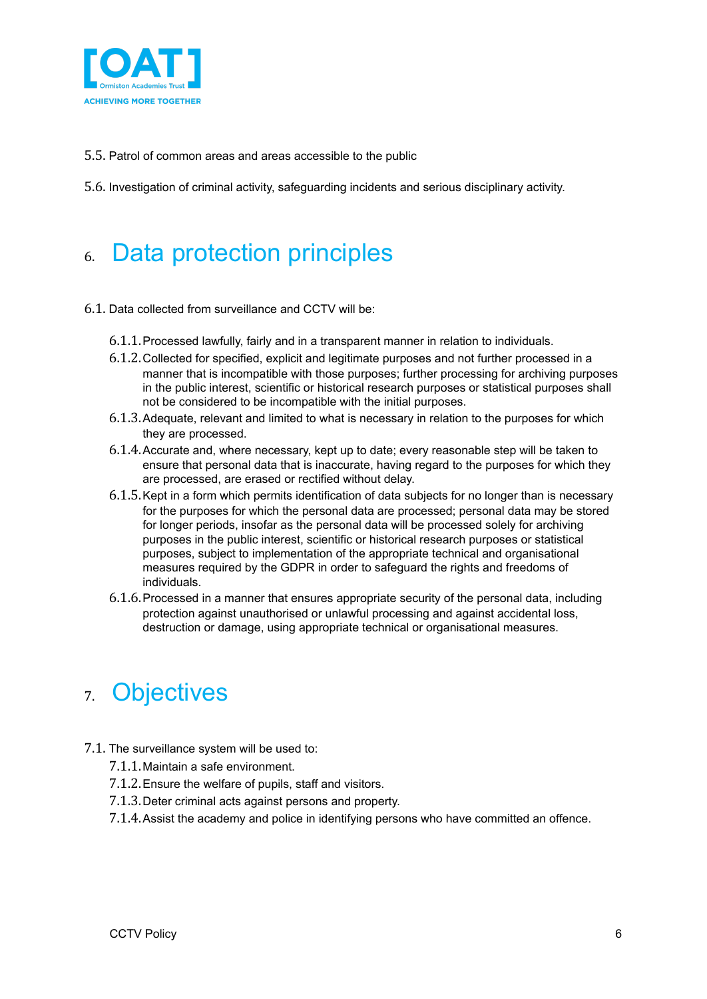

- 5.5. Patrol of common areas and areas accessible to the public
- 5.6. Investigation of criminal activity, safeguarding incidents and serious disciplinary activity.

### <span id="page-5-0"></span>6. Data protection principles

- 6.1. Data collected from surveillance and CCTV will be:
	- 6.1.1.Processed lawfully, fairly and in a transparent manner in relation to individuals.
	- 6.1.2.Collected for specified, explicit and legitimate purposes and not further processed in a manner that is incompatible with those purposes; further processing for archiving purposes in the public interest, scientific or historical research purposes or statistical purposes shall not be considered to be incompatible with the initial purposes.
	- 6.1.3.Adequate, relevant and limited to what is necessary in relation to the purposes for which they are processed.
	- 6.1.4.Accurate and, where necessary, kept up to date; every reasonable step will be taken to ensure that personal data that is inaccurate, having regard to the purposes for which they are processed, are erased or rectified without delay.
	- 6.1.5.Kept in a form which permits identification of data subjects for no longer than is necessary for the purposes for which the personal data are processed; personal data may be stored for longer periods, insofar as the personal data will be processed solely for archiving purposes in the public interest, scientific or historical research purposes or statistical purposes, subject to implementation of the appropriate technical and organisational measures required by the GDPR in order to safeguard the rights and freedoms of individuals.
	- 6.1.6.Processed in a manner that ensures appropriate security of the personal data, including protection against unauthorised or unlawful processing and against accidental loss, destruction or damage, using appropriate technical or organisational measures.

#### <span id="page-5-1"></span>7. Objectives

- 7.1. The surveillance system will be used to:
	- 7.1.1.Maintain a safe environment.
	- 7.1.2.Ensure the welfare of pupils, staff and visitors.
	- 7.1.3.Deter criminal acts against persons and property.
	- 7.1.4.Assist the academy and police in identifying persons who have committed an offence.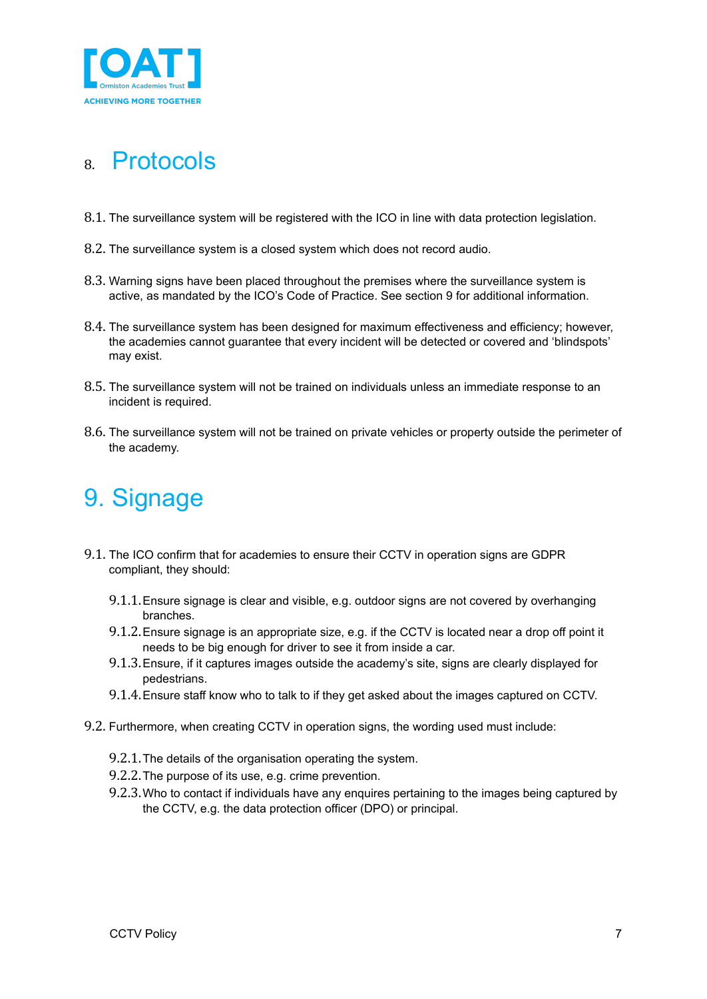

### <span id="page-6-0"></span>8. Protocols

- 8.1. The surveillance system will be registered with the ICO in line with data protection legislation.
- 8.2. The surveillance system is a closed system which does not record audio.
- 8.3. Warning signs have been placed throughout the premises where the surveillance system is active, as mandated by the ICO's Code of Practice. See section 9 for additional information.
- 8.4. The surveillance system has been designed for maximum effectiveness and efficiency; however, the academies cannot guarantee that every incident will be detected or covered and 'blindspots' may exist.
- 8.5. The surveillance system will not be trained on individuals unless an immediate response to an incident is required.
- <span id="page-6-1"></span>8.6. The surveillance system will not be trained on private vehicles or property outside the perimeter of the academy.

## 9. Signage

- 9.1. The ICO confirm that for academies to ensure their CCTV in operation signs are GDPR compliant, they should:
	- 9.1.1.Ensure signage is clear and visible, e.g. outdoor signs are not covered by overhanging branches.
	- 9.1.2.Ensure signage is an appropriate size, e.g. if the CCTV is located near a drop off point it needs to be big enough for driver to see it from inside a car.
	- 9.1.3.Ensure, if it captures images outside the academy's site, signs are clearly displayed for pedestrians.
	- 9.1.4.Ensure staff know who to talk to if they get asked about the images captured on CCTV.
- 9.2. Furthermore, when creating CCTV in operation signs, the wording used must include:
	- 9.2.1.The details of the organisation operating the system.
	- 9.2.2.The purpose of its use, e.g. crime prevention.
	- 9.2.3.Who to contact if individuals have any enquires pertaining to the images being captured by the CCTV, e.g. the data protection officer (DPO) or principal.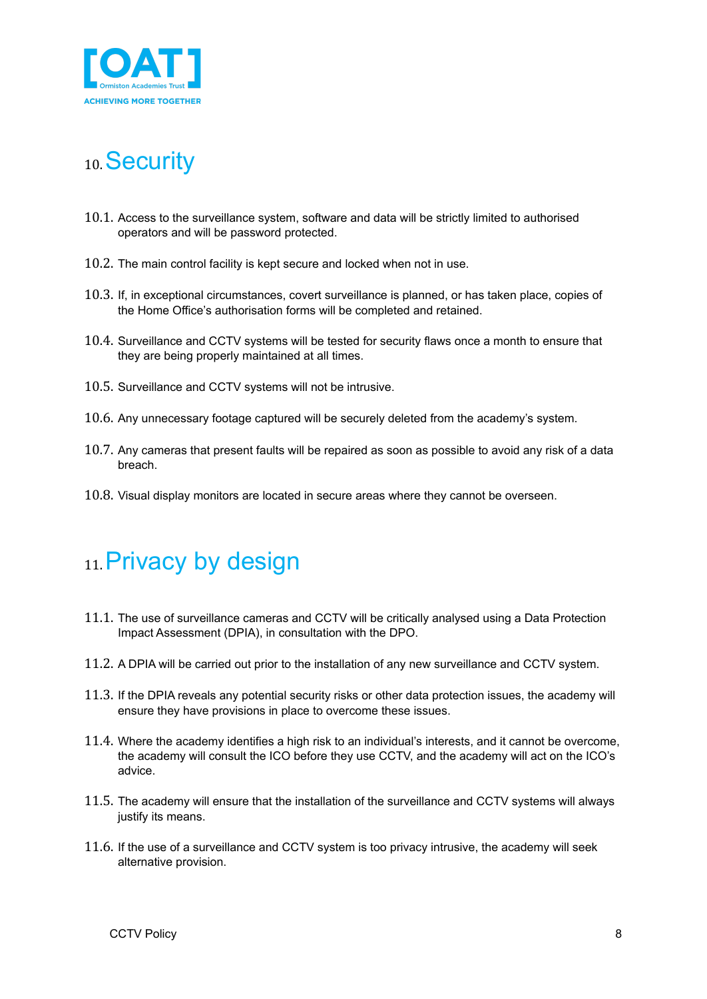

## <span id="page-7-0"></span>10.Security

- 10.1. Access to the surveillance system, software and data will be strictly limited to authorised operators and will be password protected.
- 10.2. The main control facility is kept secure and locked when not in use.
- 10.3. If, in exceptional circumstances, covert surveillance is planned, or has taken place, copies of the Home Office's authorisation forms will be completed and retained.
- 10.4. Surveillance and CCTV systems will be tested for security flaws once a month to ensure that they are being properly maintained at all times.
- 10.5. Surveillance and CCTV systems will not be intrusive.
- 10.6. Any unnecessary footage captured will be securely deleted from the academy's system.
- 10.7. Any cameras that present faults will be repaired as soon as possible to avoid any risk of a data breach.
- <span id="page-7-1"></span>10.8. Visual display monitors are located in secure areas where they cannot be overseen.

### 11. Privacy by design

- 11.1. The use of surveillance cameras and CCTV will be critically analysed using a Data Protection Impact Assessment (DPIA), in consultation with the DPO.
- 11.2. A DPIA will be carried out prior to the installation of any new surveillance and CCTV system.
- 11.3. If the DPIA reveals any potential security risks or other data protection issues, the academy will ensure they have provisions in place to overcome these issues.
- 11.4. Where the academy identifies a high risk to an individual's interests, and it cannot be overcome, the academy will consult the ICO before they use CCTV, and the academy will act on the ICO's advice.
- 11.5. The academy will ensure that the installation of the surveillance and CCTV systems will always justify its means.
- 11.6. If the use of a surveillance and CCTV system is too privacy intrusive, the academy will seek alternative provision.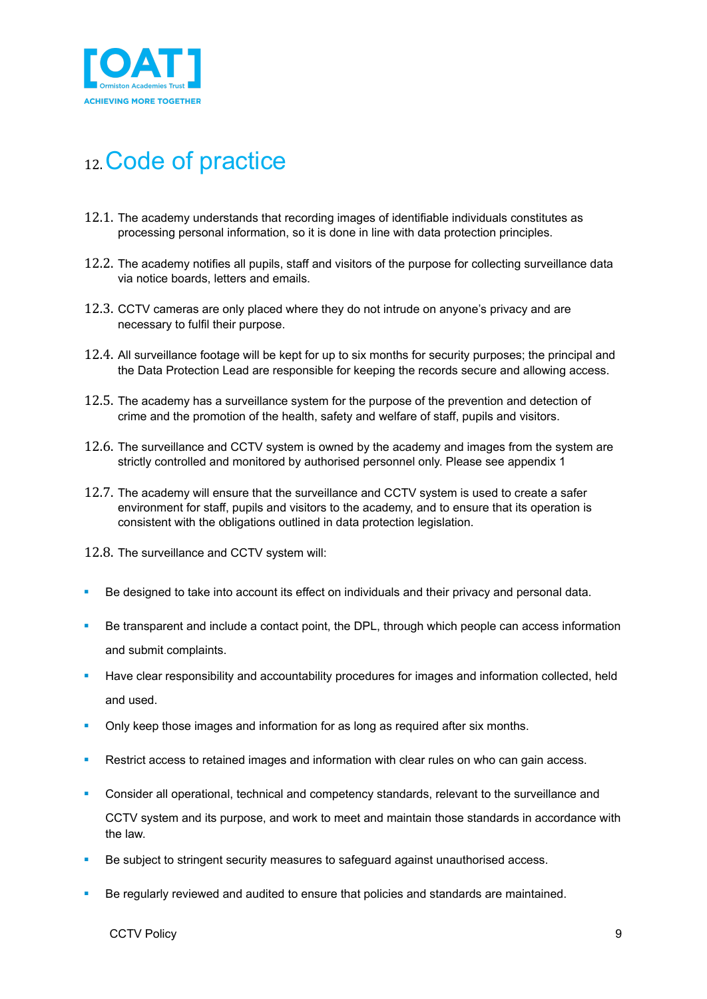

## <span id="page-8-0"></span>12.Code of practice

- 12.1. The academy understands that recording images of identifiable individuals constitutes as processing personal information, so it is done in line with data protection principles.
- 12.2. The academy notifies all pupils, staff and visitors of the purpose for collecting surveillance data via notice boards, letters and emails.
- 12.3. CCTV cameras are only placed where they do not intrude on anyone's privacy and are necessary to fulfil their purpose.
- 12.4. All surveillance footage will be kept for up to six months for security purposes; the principal and the Data Protection Lead are responsible for keeping the records secure and allowing access.
- 12.5. The academy has a surveillance system for the purpose of the prevention and detection of crime and the promotion of the health, safety and welfare of staff, pupils and visitors.
- 12.6. The surveillance and CCTV system is owned by the academy and images from the system are strictly controlled and monitored by authorised personnel only. Please see appendix 1
- 12.7. The academy will ensure that the surveillance and CCTV system is used to create a safer environment for staff, pupils and visitors to the academy, and to ensure that its operation is consistent with the obligations outlined in data protection legislation.
- 12.8. The surveillance and CCTV system will:
- Be designed to take into account its effect on individuals and their privacy and personal data.
- Be transparent and include a contact point, the DPL, through which people can access information and submit complaints.
- Have clear responsibility and accountability procedures for images and information collected, held and used.
- Only keep those images and information for as long as required after six months.
- **EXECT** Restrict access to retained images and information with clear rules on who can gain access.
- **•** Consider all operational, technical and competency standards, relevant to the surveillance and CCTV system and its purpose, and work to meet and maintain those standards in accordance with the law.
- Be subject to stringent security measures to safeguard against unauthorised access.
- **EXED** Be regularly reviewed and audited to ensure that policies and standards are maintained.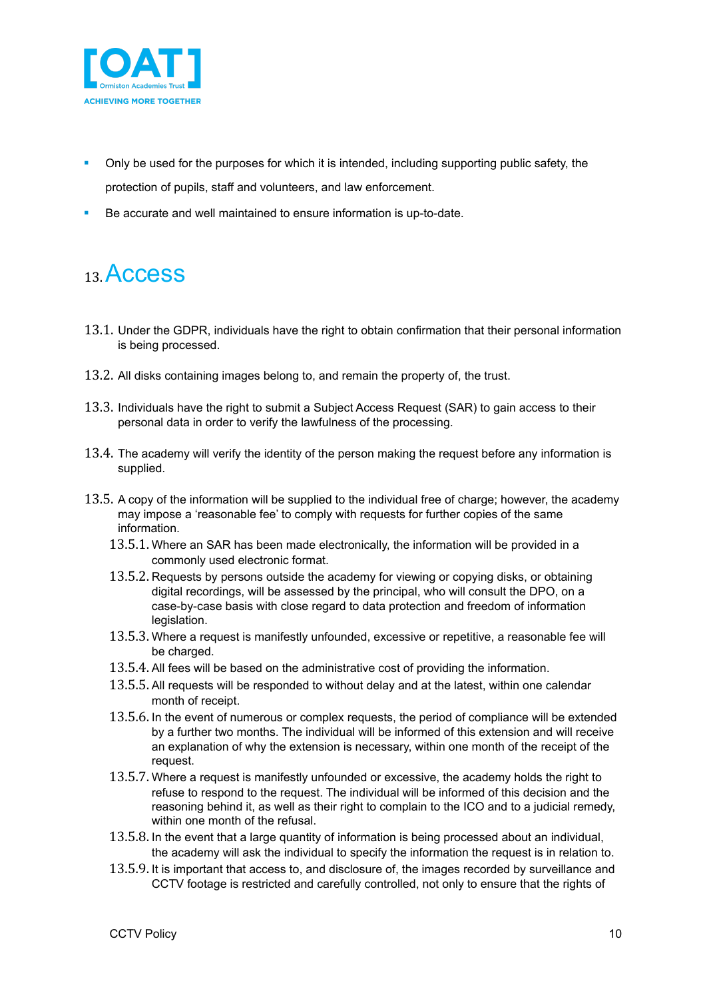

- Only be used for the purposes for which it is intended, including supporting public safety, the protection of pupils, staff and volunteers, and law enforcement.
- Be accurate and well maintained to ensure information is up-to-date.

### <span id="page-9-0"></span>13.Access

- 13.1. Under the GDPR, individuals have the right to obtain confirmation that their personal information is being processed.
- 13.2. All disks containing images belong to, and remain the property of, the trust.
- 13.3. Individuals have the right to submit a Subject Access Request (SAR) to gain access to their personal data in order to verify the lawfulness of the processing.
- 13.4. The academy will verify the identity of the person making the request before any information is supplied.
- 13.5. A copy of the information will be supplied to the individual free of charge; however, the academy may impose a 'reasonable fee' to comply with requests for further copies of the same information.
	- 13.5.1. Where an SAR has been made electronically, the information will be provided in a commonly used electronic format.
	- 13.5.2. Requests by persons outside the academy for viewing or copying disks, or obtaining digital recordings, will be assessed by the principal, who will consult the DPO, on a case-by-case basis with close regard to data protection and freedom of information legislation.
	- 13.5.3. Where a request is manifestly unfounded, excessive or repetitive, a reasonable fee will be charged.
	- 13.5.4. All fees will be based on the administrative cost of providing the information.
	- 13.5.5. All requests will be responded to without delay and at the latest, within one calendar month of receipt.
	- 13.5.6. In the event of numerous or complex requests, the period of compliance will be extended by a further two months. The individual will be informed of this extension and will receive an explanation of why the extension is necessary, within one month of the receipt of the request.
	- 13.5.7. Where a request is manifestly unfounded or excessive, the academy holds the right to refuse to respond to the request. The individual will be informed of this decision and the reasoning behind it, as well as their right to complain to the ICO and to a judicial remedy, within one month of the refusal.
	- 13.5.8. In the event that a large quantity of information is being processed about an individual, the academy will ask the individual to specify the information the request is in relation to.
	- 13.5.9. It is important that access to, and disclosure of, the images recorded by surveillance and CCTV footage is restricted and carefully controlled, not only to ensure that the rights of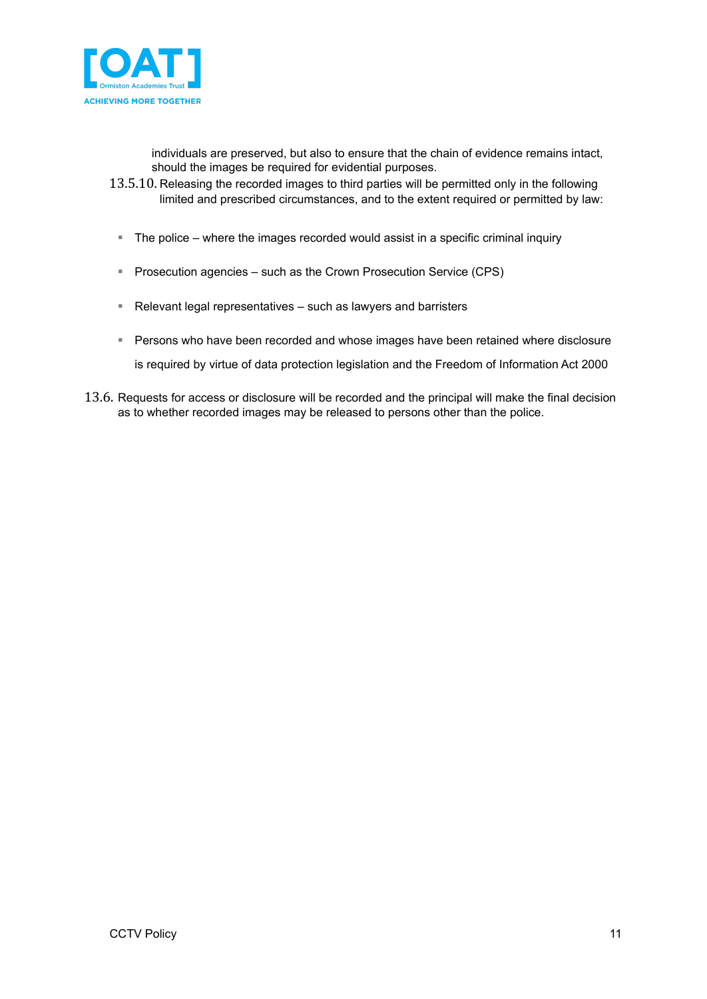

individuals are preserved, but also to ensure that the chain of evidence remains intact, should the images be required for evidential purposes.

- 13.5.10. Releasing the recorded images to third parties will be permitted only in the following limited and prescribed circumstances, and to the extent required or permitted by law:
	- The police where the images recorded would assist in a specific criminal inquiry
	- **E** Prosecution agencies such as the Crown Prosecution Service (CPS)
	- Relevant legal representatives such as lawyers and barristers
	- **Persons who have been recorded and whose images have been retained where disclosure**

is required by virtue of data protection legislation and the Freedom of Information Act 2000

13.6. Requests for access or disclosure will be recorded and the principal will make the final decision as to whether recorded images may be released to persons other than the police.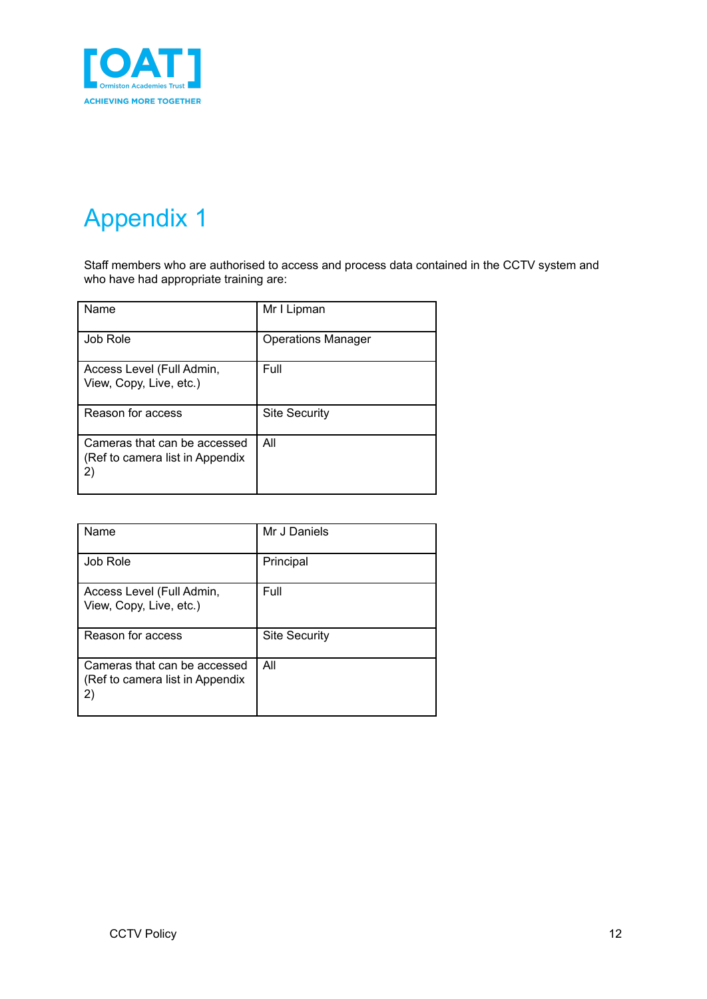

# <span id="page-11-0"></span>Appendix 1

Staff members who are authorised to access and process data contained in the CCTV system and who have had appropriate training are:

| Name                                                                  | Mr I Lipman               |
|-----------------------------------------------------------------------|---------------------------|
| Job Role                                                              | <b>Operations Manager</b> |
| Access Level (Full Admin,<br>View, Copy, Live, etc.)                  | Full                      |
| Reason for access                                                     | <b>Site Security</b>      |
| Cameras that can be accessed<br>(Ref to camera list in Appendix<br>2) | All                       |

| Name                                                                  | Mr J Daniels         |
|-----------------------------------------------------------------------|----------------------|
| <b>Job Role</b>                                                       | Principal            |
| Access Level (Full Admin,<br>View, Copy, Live, etc.)                  | Full                 |
| Reason for access                                                     | <b>Site Security</b> |
| Cameras that can be accessed<br>(Ref to camera list in Appendix<br>2) | All                  |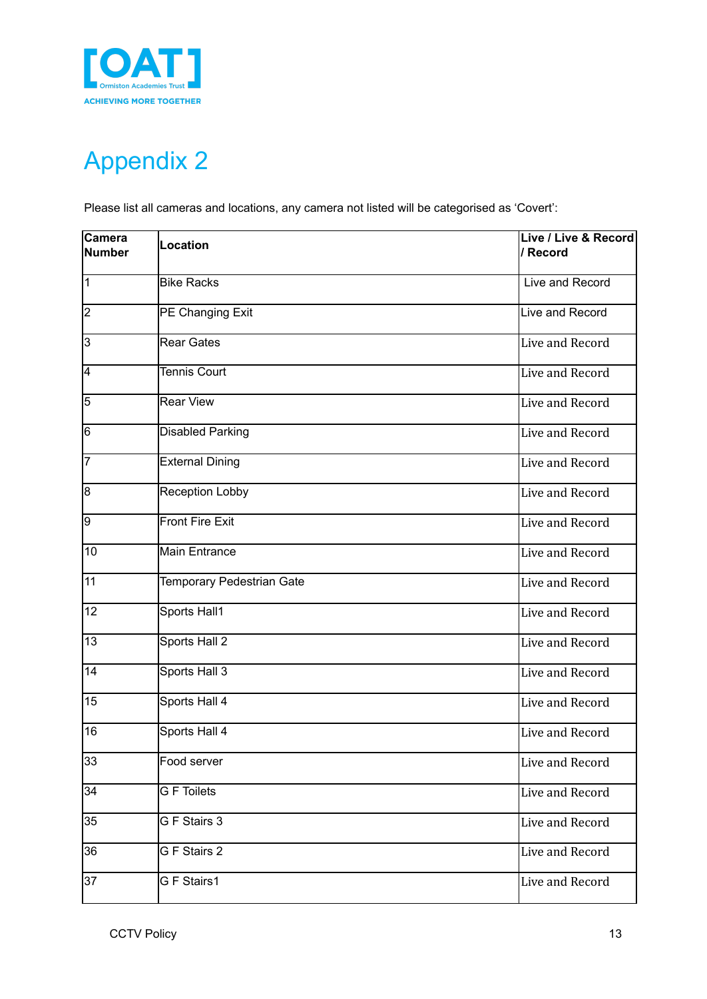

# <span id="page-12-0"></span>Appendix 2

Please list all cameras and locations, any camera not listed will be categorised as 'Covert':

| Camera<br>Number | <b>Location</b>                  | Live / Live & Record<br>/ Record |
|------------------|----------------------------------|----------------------------------|
| $\overline{1}$   | <b>Bike Racks</b>                | Live and Record                  |
| $\overline{2}$   | PE Changing Exit                 | Live and Record                  |
| 3                | <b>Rear Gates</b>                | Live and Record                  |
| 4                | <b>Tennis Court</b>              | Live and Record                  |
| $\overline{5}$   | <b>Rear View</b>                 | Live and Record                  |
| 6                | Disabled Parking                 | Live and Record                  |
| 7                | <b>External Dining</b>           | Live and Record                  |
| 8                | Reception Lobby                  | Live and Record                  |
| g                | <b>Front Fire Exit</b>           | Live and Record                  |
| 10               | Main Entrance                    | Live and Record                  |
| $\overline{11}$  | <b>Temporary Pedestrian Gate</b> | Live and Record                  |
| $\overline{12}$  | Sports Hall1                     | Live and Record                  |
| $\overline{13}$  | Sports Hall 2                    | Live and Record                  |
| 14               | Sports Hall 3                    | Live and Record                  |
| 15               | Sports Hall 4                    | Live and Record                  |
| 16               | Sports Hall 4                    | Live and Record                  |
| 33               | Food server                      | Live and Record                  |
| 34               | <b>G</b> F Toilets               | Live and Record                  |
| 35               | G F Stairs 3                     | Live and Record                  |
| 36               | G F Stairs 2                     | Live and Record                  |
| 37               | G F Stairs1                      | Live and Record                  |